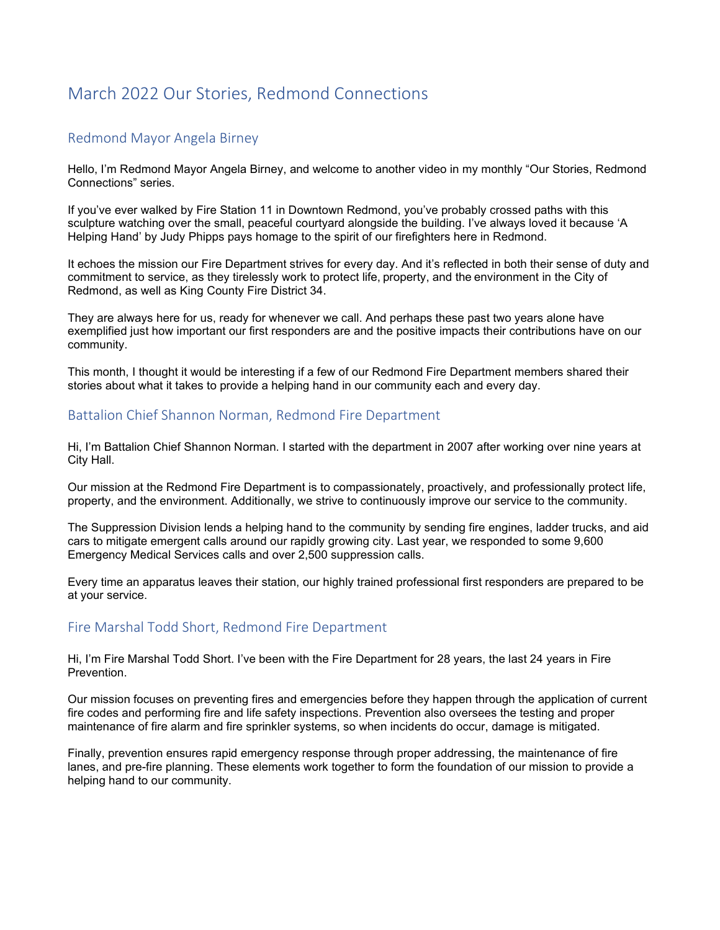# March 2022 Our Stories, Redmond Connections

## Redmond Mayor Angela Birney

Hello, I'm Redmond Mayor Angela Birney, and welcome to another video in my monthly "Our Stories, Redmond Connections" series.

If you've ever walked by Fire Station 11 in Downtown Redmond, you've probably crossed paths with this sculpture watching over the small, peaceful courtvard alongside the building. I've always loved it because 'A Helping Hand' by Judy Phipps pays homage to the spirit of our firefighters here in Redmond.

It echoes the mission our Fire Department strives for every day. And it's reflected in both their sense of duty and commitment to service, as they tirelessly work to protect life, property, and the environment in the City of Redmond, as well as King County Fire District 34.

They are always here for us, ready for whenever we call. And perhaps these past two years alone have exemplified just how important our first responders are and the positive impacts their contributions have on our community.

This month, I thought it would be interesting if a few of our Redmond Fire Department members shared their stories about what it takes to provide a helping hand in our community each and every day.

#### Battalion Chief Shannon Norman, Redmond Fire Department

Hi, I'm Battalion Chief Shannon Norman. I started with the department in 2007 after working over nine years at City Hall.

Our mission at the Redmond Fire Department is to compassionately, proactively, and professionally protect life, property, and the environment. Additionally, we strive to continuously improve our service to the community.

The Suppression Division lends a helping hand to the community by sending fire engines, ladder trucks, and aid cars to mitigate emergent calls around our rapidly growing city. Last year, we responded to some 9,600 Emergency Medical Services calls and over 2,500 suppression calls.

Every time an apparatus leaves their station, our highly trained professional first responders are prepared to be at your service.

# Fire Marshal Todd Short, Redmond Fire Department

Hi, I'm Fire Marshal Todd Short. I've been with the Fire Department for 28 years, the last 24 years in Fire Prevention.

Our mission focuses on preventing fires and emergencies before they happen through the application of current fire codes and performing fire and life safety inspections. Prevention also oversees the testing and proper maintenance of fire alarm and fire sprinkler systems, so when incidents do occur, damage is mitigated.

Finally, prevention ensures rapid emergency response through proper addressing, the maintenance of fire lanes, and pre-fire planning. These elements work together to form the foundation of our mission to provide a helping hand to our community.